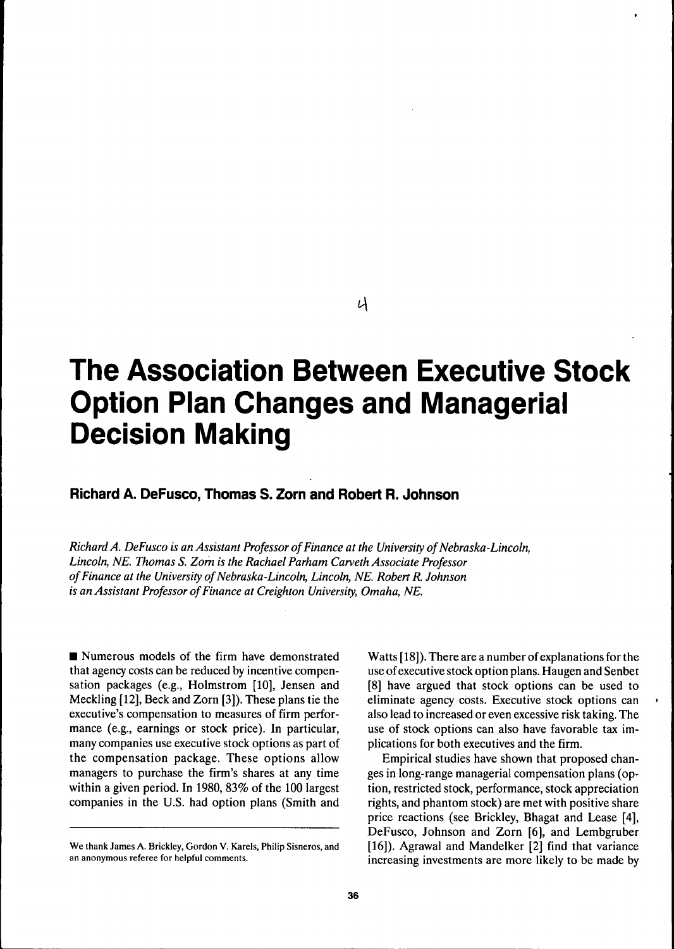## U

# **The Association Between Executive Stock Option Plan Changes and Managerial Decision Making**

## **Richard A. DeFusco, Thomas S. Zorn and Robert R. Johnson**

*Richard A. DeFusco is an Assistant Professor of Finance at the University of Nebraska-Lincoln, Lincoln, NE. Thomas S. Zom is the Rachael Parham Carveth Associate Professor ofFinanee at the University of Nebraska-Lincoln, Lincoln, NE. Robert R. Johnson is an Assistant Professor of Finance at Creighton University, Omaha, NE.*

 $\blacksquare$  Numerous models of the firm have demonstrated that agency costs can be reduced by incentive compensation packages (e.g., Holmstrom [10], Jensen and Meckling [12], Beck and Zorn [3]). These plans tie the executive's compensation to measures of firm performance (e.g., earnings or stock price). In particular, many companies use executive stock options as part of the compensation package. These options allow managers to purchase the firm's shares at any time within a given period. In 1980, 83% of the 100 largest companies in the U.S. had option plans (Smith and

Watts [18]). There are a number of explanations for the use of executive stock option plans. Haugen and Senbet [8] have argued that stock options can be used to eliminate agency costs. Executive stock options can also lead to increased or even excessive risk taking. The use of stock options can also have favorable tax implications for both executives and the firm.

Empirical studies have shown that proposed changes in long-range managerial compensation plans (option, restricted stock, performance, stock appreciation rights, and phantom stock) are met with positive share price reactions (see Brickley, Bhagat and Lease [4], DeFusco, Johnson and Zorn [6], and Lembgruber [16]). Agrawal and Mandelker [2] find that variance increasing investments are more likely to be made by

We thank James A. Brickley, Gordon V. Karels, Philip Sisneros, and an anonymous referee for helpful comments.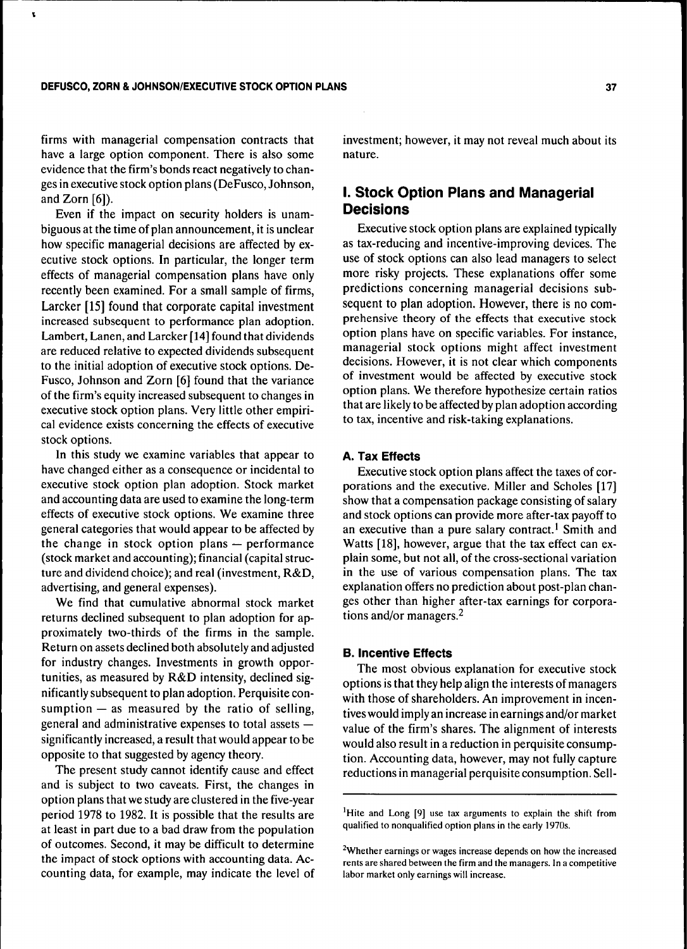ŧ

firms with managerial compensation contracts that have a large option component. There is also some evidence that the firm's bonds react negatively to changes in executive stock option plans (DeFusco, Johnson, and Zorn  $[6]$ ).

Even if the impact on security holders is unambiguous at the time of plan announcement, it is unclear how specific managerial decisions are affected by executive stock options. In particular, the longer term effects of managerial compensation plans have only recently been examined. For a small sample of firms, Larcker [15] found that corporate capital investment increased subsequent to performance plan adoption. Lambert, Lanen, and Larcker [14] found that dividends are reduced relative to expected dividends subsequent to the initial adoption of executive stock options. De-Fusco, Johnson and Zorn [6] found that the variance of the firm's equity increased subsequent to changes in executive stock option plans. Very little other empirical evidence exists concerning the effects of executive stock options.

In this study we examine variables that appear to have changed either as a consequence or incidental to executive stock option plan adoption. Stock market and accounting data are used to examine the long-term effects of executive stock options. We examine three general categories that would appear to be affected by the change in stock option plans — performance (stock market and accounting); financial (capital structure and dividend choice); and real (investment, R&D, advertising, and general expenses).

We find that cumulative abnormal stock market returns declined subsequent to plan adoption for approximately two-thirds of the firms in the sample. Return on assets declined both absolutely and adjusted for industry changes. Investments in growth opportunities, as measured by R&D intensity, declined significantly subsequent to plan adoption. Perquisite consumption  $-$  as measured by the ratio of selling, general and administrative expenses to total assets significantly increased, a result that would appear to be opposite to that suggested by agency theory.

The present study cannot identify cause and effect and is subject to two caveats. First, the changes in option plans that we study are clustered in the five-year period 1978 to 1982. It is possible that the results are at least in part due to a bad draw from the population of outcomes. Second, it may be difficult to determine the impact of stock options with accounting data. Accounting data, for example, may indicate the level of investment; however, it may not reveal much about its nature.

## **I. Stock Option Plans and Managerial Decisions**

Executive stock option plans are explained typically as tax-reducing and incentive-improving devices. The use of stock options can also lead managers to select more risky projects. These explanations offer some predictions concerning managerial decisions subsequent to plan adoption. However, there is no comprehensive theory of the effects that executive stock option plans have on specific variables. For instance, managerial stock options might affect investment decisions. However, it is not clear which components of investment would be affected by executive stock option plans. We therefore hypothesize certain ratios that are likely to be affected by plan adoption according to tax, incentive and risk-taking explanations.

#### **A. Tax Effects**

Executive stock option plans affect the taxes of corporations and the executive. Miller and Scholes [17] show that a compensation package consisting of salary and stock options can provide more after-tax payoff to an executive than a pure salary contract.<sup>1</sup> Smith and Watts [18], however, argue that the tax effect can explain some, but not all, of the cross-sectional variation in the use of various compensation plans. The tax explanation offers no prediction about post-plan changes other than higher after-tax earnings for corporations and/or managers. $<sup>2</sup>$ </sup>

### **B. Incentive Effects**

The most obvious explanation for executive stock options is that they help align the interests of managers with those of shareholders. An improvement in incentives would imply an increase in earnings and/or market value of the firm's shares. The alignment of interests would also result in a reduction in perquisite consumption. Accounting data, however, may not fully capture reductions in managerial perquisite consumption. Sell-

<sup>1</sup>Hite and Long [9] use tax arguments to explain the shift from qualified to nonqualified option plans in the early 1970s.

<sup>&</sup>lt;sup>2</sup>Whether earnings or wages increase depends on how the increased rents are shared between the firm and the managers. In a competitive labor market only earnings will increase.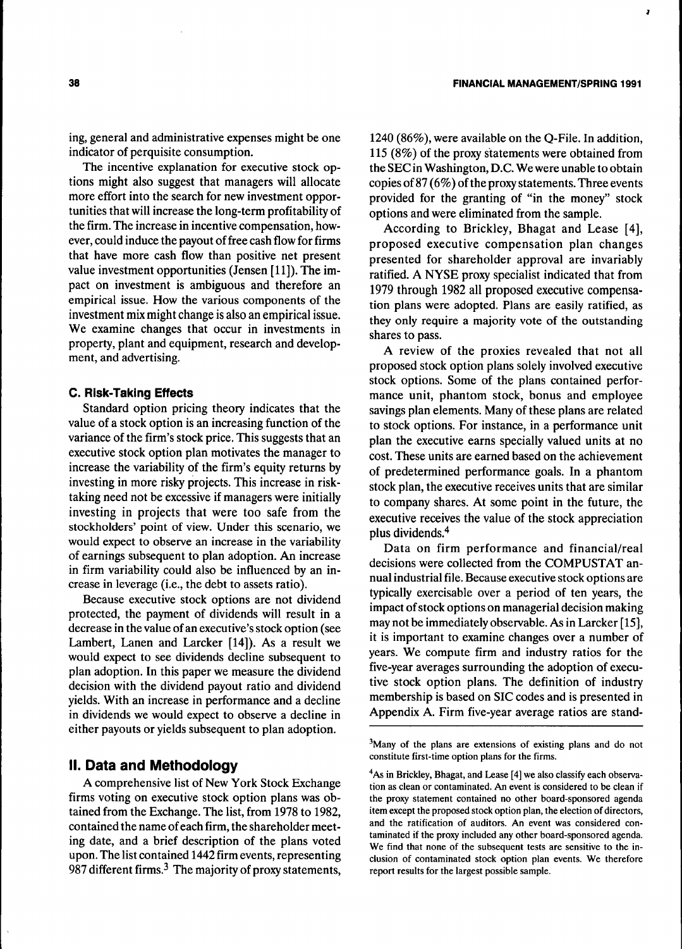ing, general and administrative expenses might be one indicator of perquisite consumption.

The incentive explanation for executive stock options might also suggest that managers will allocate more effort into the search for new investment opportunities that will increase the long-term profitability of the firm. The increase in incentive compensation, however, could induce the payout of free cash flow for firms that have more cash flow than positive net present value investment opportunities (Jensen [11]). The impact on investment is ambiguous and therefore an empirical issue. How the various components of the investment mix might change is also an empirical issue. We examine changes that occur in investments in property, plant and equipment, research and development, and advertising.

#### **C. Risk-Taking Effects**

Standard option pricing theory indicates that the value of a stock option is an increasing function of the variance of the firm's stock price. This suggests that an executive stock option plan motivates the manager to increase the variability of the firm's equity returns by investing in more risky projects. This increase in risktaking need not be excessive if managers were initially investing in projects that were too safe from the stockholders' point of view. Under this scenario, we would expect to observe an increase in the variability of earnings subsequent to plan adoption. An increase in firm variability could also be influenced by an increase in leverage (i.e., the debt to assets ratio).

Because executive stock options are not dividend protected, the payment of dividends will result in a decrease in the value of an executive's stock option (see Lambert, Lanen and Larcker [14]). As a result we would expect to see dividends decline subsequent to plan adoption. In this paper we measure the dividend decision with the dividend payout ratio and dividend yields. With an increase in performance and a decline in dividends we would expect to observe a decline in either payouts or yields subsequent to plan adoption.

## **II. Data and Methodology**

A comprehensive list of New York Stock Exchange firms voting on executive stock option plans was obtained from the Exchange. The list, from 1978 to 1982, contained the name of each firm, the shareholder meeting date, and a brief description of the plans voted upon. The list contained 1442 firm events, representing 987 different firms. $3$  The majority of proxy statements, 1240 (86%), were available on the Q-File. In addition, 115 (8%) of the proxy statements were obtained from the SEC in Washington, D.C. We were unable to obtain copies of 87 (6%) of the proxy statements. Three events provided for the granting of "in the money" stock options and were eliminated from the sample.

According to Brickley, Bhagat and Lease [4], proposed executive compensation plan changes presented for shareholder approval are invariably ratified. A NYSE proxy specialist indicated that from 1979 through 1982 all proposed executive compensation plans were adopted. Plans are easily ratified, as they only require a majority vote of the outstanding shares to pass.

A review of the proxies revealed that not all proposed stock option plans solely involved executive stock options. Some of the plans contained performance unit, phantom stock, bonus and employee savings plan elements. Many of these plans are related to stock options. For instance, in a performance unit plan the executive earns specially valued units at no cost. These units are earned based on the achievement of predetermined performance goals. In a phantom stock plan, the executive receives units that are similar to company shares. At some point in the future, the executive receives the value of the stock appreciation plus dividends.<sup>4</sup>

Data on firm performance and financial/real decisions were collected from the COMPUSTAT annual industrial file. Because executive stock options are typically exercisable over a period of ten years, the impact of stock options on managerial decision making may not be immediately observable. As in Larcker [15], it is important to examine changes over a number of years. We compute firm and industry ratios for the five-year averages surrounding the adoption of executive stock option plans. The definition of industry membership is based on SIC codes and is presented in Appendix A. Firm five-year average ratios are stand-

<sup>3</sup>Many of the plans are extensions of existing plans and do not constitute first-time option plans for the firms.

<sup>4</sup>As in Brickley, Bhagat, and Lease [4] we also classify each observation as clean or contaminated. An event is considered to be clean if the proxy statement contained no other board-sponsored agenda item except the proposed stock option plan, the election of directors, and the ratification of auditors. An event was considered contaminated if the proxy included any other board-sponsored agenda. We find that none of the subsequent tests are sensitive to the inclusion of contaminated stock option plan events. We therefore report results for the largest possible sample.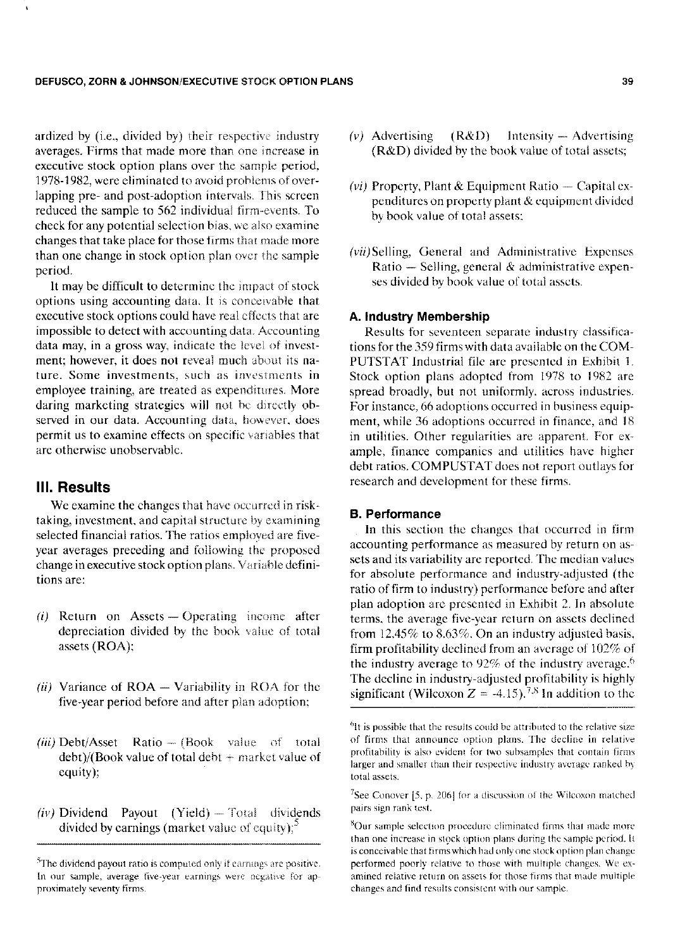#### DEFUSCO, ZORN & JOHNSON/EXECUTIVE STOCK OPTION PLANS 39

ardized by (i.e., divided by) their respective industry averages. Firms that made more than one increase in executive stock option plans over the sample period, 1978-1982, were eliminated to avoid problems of overlapping pre- and post-adoption intervals. This screen reduced the sample to 562 individual firm-events. To check for any potential selection bias, we also examine changes that take place for those firms that made more than one change in stock option plan over the sample period.

lt may be difficult to determine the impact of stock options using accounting data. It is conceivable that executive stock options could have real effects that are impossible to detect with accounting data. Accounting data may, in a gross way, indicate the leve] of investment; however, it does not reveal much about its nature. Some investments, sueh as investments in employee training, are treated as expenditures. More daring marketing strategies will not be directly observed in our data. Accounting data, however, does permit us to examine effects on specific variables that are otherwise unobservable.

## **III. Results**

We examine the changes that have occurred in risktaking, investment, and capital structure by examining selected financial ratios. The ratios employed are fiveyear averages preceding and following the proposed change in executive stock option plans. Variable definitions are:

- *(i)* Return on Assets Operating income after depreciation divided by the book value of total assets (ROA):
- (*ii*) Variance of ROA Variability in ROA for the five-year period before and after plan adoption;
- (*iii*) Debt/Asset Ratio (Book value of total debt)/(Book value of total debt + market value of equity);
- *(iv)* Dividend Payout (Yield) Total dividends divided by earnings (market value of equity); $\sin$
- *(v)* Advertising (R&D) Intensity Advertising (R&D) divided by the book value of total assets;
- *(vi)* Property, Plant & Equipment Ratio Capital expenditures on property pJant & equipment divided by book value of total assets:
- (vii) Selling, General and Administrative Expenses Ratio  $-$  Selling, general  $\&$  administrative expenses divided by book value of total assets,

#### A. Industry Membership

Results for seventeen separate industry classifications for the 359 firms with data available on the COM-PUTSTAT Industrial file arc presented in Exhibit 1. Stock option plans adopted from 1978 to 1982 are spread broadly, but not uniformly, across industries. For instance, 66 adoptions occurred in business equipment, while 36 adoptions occurred in finance, and 18 in utilities. Other regularities are apparent. For example, finance companies and utilities have higher debt ratios. COMPUSTAT does not report outlays for research and development for these firms.

#### B. Performance

In this section the changes that occurred in firm accounting performance as measured by return on assets and its variability are reported. The median values for absolute performance and industry-adjusted (the ratio of firm to industry) performance before and after plan adoption are presented in Exhibit 2. In absolute terms, the average five-year return on assets declined from 12.45% to 8.63%. On an industry adjusted basis. firm profitability declined from an average of 102% of the industry average to  $92\%$  of the industry average.<sup>6</sup> The decline in industry-adjusted profitability is highly significant (Wilcoxon  $Z = -4.15$ ).<sup>7.8</sup> In addition to the

<sup>7</sup>See Conover [5, p. 206] for a discussion of the Wilcoxon matched pairs sign rank test.

 $5$ The dividend payout ratio is computed only if earnings are positive. In our sample, average five-year earnings were negative for approximately seventy firms.

 $<sup>6</sup>$ It is possible that the results could be attributed to the relative size</sup> of firms thai announce option plans. The decline in relative profitability is also evident for two subsamples that contain firms larger and smaller than their respective industry average ranked by total assets.

 $^8$ Our sample selection procedure eliminated firms that made more than one increase in stock option plans during the sample period. It is conceivable that firms which had only one stock option plan change performed poorly relative to those with multiple changes. We examined relative return on assets for those firms that made multiple changes and find resulis consisicni with our sample.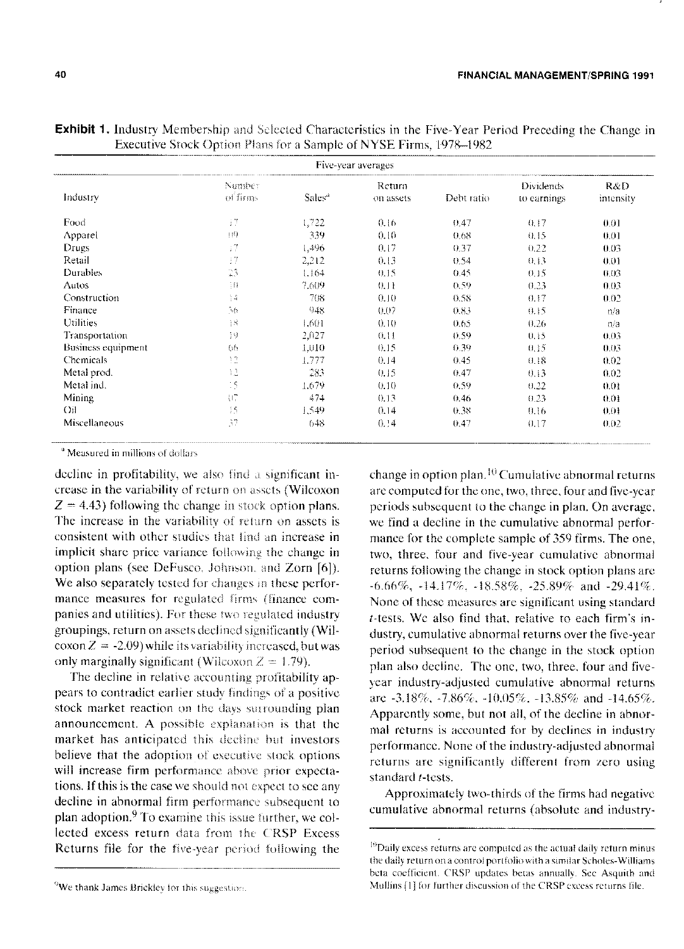| Five-year averages |                    |                    |                     |            |                                 |                   |  |
|--------------------|--------------------|--------------------|---------------------|------------|---------------------------------|-------------------|--|
| Industry           | Number<br>of firms | Sales <sup>a</sup> | Return<br>on assets | Debt ratio | <b>Dividends</b><br>to earnings | R&D.<br>intensity |  |
| Food               | I7                 | 1,722              | 0.16                | 0.47       | 0.17                            | 0.01              |  |
| Apparel            | $\{10\}$           | 339                | 0.10                | 0.68       | 0.15                            | 0.01              |  |
| Drugs              | $^{17}$            | 1,496              | 0.17                | 0.37       | 0.22                            | 0.03              |  |
| Retail             | I7                 | 2,212              | 0.13                | 0.54       | 0.13                            | 0.01              |  |
| <b>Durables</b>    | 23                 | 1.164              | 0.15                | (0.45)     | 0.15                            | 0.03              |  |
| Autos              | 30                 | 7.609              | 0.11                | 0.59       | 0.23                            | 0.03              |  |
| Construction       | $\frac{1}{1}$      | 708                | 0.10                | 0.58       | 0.17                            | 0.02              |  |
| Finance            | $\gamma_{\rm f1}$  | 948                | 0.07                | 0.83       | 0.15                            | n/a               |  |
| <b>Utilities</b>   | 议                  | 1.601              | 0.10                | 0.65       | 0.26                            | n/a               |  |
| Transportation     | 19                 | 2.027              | 0.11                | 0.59       | 0.15                            | 0.03              |  |
| Business equipment | 06                 | 1.010              | 0.15                | 0.39       | 0.15                            | 0.03              |  |
| <b>Chemicals</b>   | 12                 | 1.777              | 0.14                | 0.45       | 0.18                            | 0.02              |  |
| Metal prod.        | 12                 | 283                | 0.15                | 0.47       | 0.13                            | 0.02              |  |
| Metal ind.         | $\frac{1}{2}$      | 1.679              | 0.10                | 0.59       | 0.22                            | 0.01              |  |
| Mining             | 打                  | 474                | 0.13                | 0.46       | 0.23                            | 0.01              |  |
| $Q_{\rm II}$       | 15                 | 1,549              | 0.14                | 0.38       | 0.16                            | 0.01              |  |
| Miscellaneous      | 37                 | 648                | 0.14                | 0.47       | 0.17                            | 0.02              |  |

**Exhibit 1.** Industry Membership and Selected Characteristics in the Five-Year Period Preceding the Change in Executive Stock Option Plans for a Sample of NYSE Firms 1978-1982

<sup>a</sup> Measured in millions of dollars

decline in profitability, we also find a significant increase in the variability of return on assets (Wilcoxon  $Z = 4.43$ ) following the change in stock option plans. The increase in the variability of return on assets is consistent with other studies that find an increase in implicit share price variance following the change in option plans (see DeFusco, Johnson, and Zorn [6]). We also separately tested for changes in these performance measures for regulated firms (finance companies and utilities). For these two regulated industry groupings, return on assets declined significantly (Wilcoxon  $Z = -2.09$ ) while its variability increased, but was only marginally significant (Wilcoxon  $Z = 1.79$ ).

The decline in relative accounting profitability appears to contradict earlier study findings of a positive stock market reaction on the days surrounding plan announcement. A possible explanation is that the market has anticipated this decline but investors believe that the adoption of executive stock options will increase firm performance above prior expectations. If this is the case we should not expect to see any decline in abnormal firm performance subsequent to plan adoption.<sup>9</sup> To examine this issue further, we collected excess return data from the CRSP Excess Returns file for the five-year period following the

<sup>9</sup>We thank James Brickley for this suggestion.

change in option plan.<sup>10</sup> Cumulative abnormal returns are computed for the one, two, three, four and five-year periods subsequent to the change in plan. On average, we find a decline in the cumulative abnormal performance for the complete sample of 359 firms. The one, two, three, four and five-year cumulative abnormal returns following the change in stock option plans are  $-6.66\%$ ,  $-14.17\%$ ,  $-18.58\%$ ,  $-25.89\%$  and  $-29.41\%$ . None of these measures are significant using standard t-tests. We also find that, relative to each firm's industry, cumulative abnormal returns over the five-year period subsequent to the change in the stock option plan also decline. The one, two, three, four and fivevear industry-adjusted cumulative abnormal returns are -3.18%, -7.86%, -10.05%, -13.85% and -14.65%. Apparently some, but not all, of the decline in abnormal returns is accounted for by declines in industry performance. None of the industry-adjusted abnormal returns are significantly different from zero using standard t-tests.

Approximately two-thirds of the firms had negative cumulative abnormal returns (absolute and industry-

 $^{10}$ Daily excess returns are computed as the actual daily return minus the daily return on a control portfolio with a similar Scholes-Williams beta coefficient. CRSP updates betas annually. See Asquith and Mullins [1] for further discussion of the CRSP excess returns file.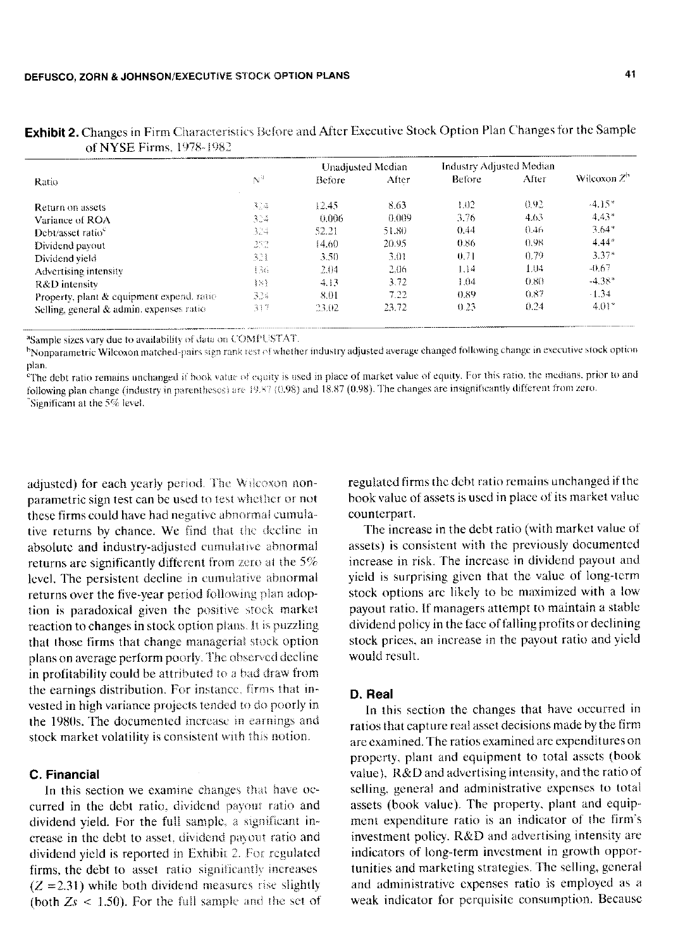|                                           | $\mathbb{N}^3$ | Unadjusted Median |       | Industry Adjusted Median |       |                |  |
|-------------------------------------------|----------------|-------------------|-------|--------------------------|-------|----------------|--|
| Ratio                                     |                | <b>Before</b>     | After | <b>Betore</b>            | After | Wilcoxon $Z^h$ |  |
| Return on assets                          | 314            | 12.45             | 8.63  | 1.02                     | 0.92  | $-4.15*$       |  |
| Variance of ROA                           | 324            | 0.006             | 0.009 | 3.76                     | 4.63  | $4.43*$        |  |
| Debt/asset ratio                          | 324            | 52.21             | 51.80 | 0.44                     | 0.46  | $3.64*$        |  |
| Dividend payout                           | 252            | 14.60             | 20.95 | 0.86                     | 0.98  | $4.44*$        |  |
| Dividend vield                            | 321            | 3.50              | 3.01  | 0.71                     | 0.79  | $3.37*$        |  |
| Advertising intensity                     | 136            | 2.04              | 2.06  | 1.14                     | 1.04  | $-0.67$        |  |
| R&D intensity                             | $\{S\}$        | 4.13              | 3.72  | 1.04                     | 0.80  | $-4.38*$       |  |
| Property, plant & equipment expend. ratio | 324            | 8.01              | 7.22  | 0.89                     | 0.87  | $-1.34$        |  |
| Selling, general & admin. expenses ratio  | 317            | 23.02             | 23.72 | 0.23                     | 0.24  | $4.01*$        |  |

**Exhibit 2.** Changes in Firm Characteristics Before and After Executive Stock Option Plan Changes for the Sample of NVSE Firms  $1978-198$ <sup>2</sup>

<sup>a</sup>Sample sizes vary due to availability of data on COMPUSTAT.

<sup>h</sup>Nonparametric Wilcoxon matched-pairs sign rank test of whether industry adjusted average changed following change in executive stock option plan.

"The debt ratio remains unchanged if book value of equity is used in place of market value of equity. For this ratio, the medians, prior to and following plan change (industry in parentheses) are 19.87 (0.98) and 18.87 (0.98). The changes are insignificantly different from zero. Significant at the  $5\%$  level.

adjusted) for each vearly period. The Wilcoxon nonparametric sign test can be used to test whether or not these firms could have had negative abnormal cumulative returns by chance. We find that the decline in absolute and industry-adjusted cumulative abnormal returns are significantly different from zero at the 5% level. The persistent decline in cumulative abnormal returns over the five-year period following plan adoption is paradoxical given the positive stock market reaction to changes in stock option plans. It is puzzling that those firms that change managerial stock option plans on average perform poorly. The observed decline in profitability could be attributed to a bad draw from the earnings distribution. For instance, firms that invested in high variance projects tended to do poorly in the 1980s. The documented increase in earnings and stock market volatility is consistent with this notion.

### C. Financial

In this section we examine changes that have occurred in the debt ratio, dividend payout ratio and dividend yield. For the full sample, a significant increase in the debt to asset, dividend payout ratio and dividend yield is reported in Exhibit 2. For regulated firms, the debt to asset ratio significantly increases  $(Z = 2.31)$  while both dividend measures rise slightly (both  $Z_s$  < 1.50). For the full sample and the set of regulated firms the debt ratio remains unchanged if the book value of assets is used in place of its market value counterpart.

The increase in the debt ratio (with market value of assets) is consistent with the previously documented increase in risk. The increase in dividend payout and vield is surprising given that the value of long-term stock options are likely to be maximized with a low payout ratio. If managers attempt to maintain a stable dividend policy in the face of falling profits or declining stock prices, an increase in the payout ratio and yield would result.

#### D. Real

In this section the changes that have occurred in ratios that capture real asset decisions made by the firm are examined. The ratios examined are expenditures on property, plant and equipment to total assets (book value). R&D and advertising intensity, and the ratio of selling, general and administrative expenses to total assets (book value). The property, plant and equipment expenditure ratio is an indicator of the firm's investment policy. R&D and advertising intensity are indicators of long-term investment in growth opportunities and marketing strategies. The selling, general and administrative expenses ratio is employed as a weak indicator for perquisite consumption. Because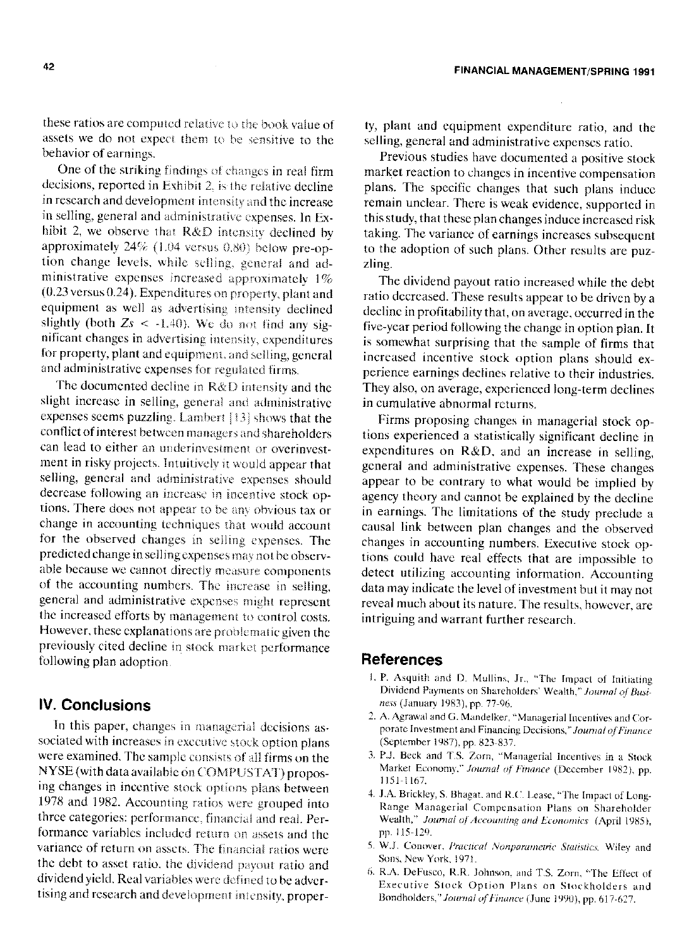**FINANCIAL MANAGEMENT/SPRING 1991** 

these ratios are computed relative to the book value of assets we do not expect them to be sensitive to the behavior of earnings.

One of the striking findings of changes in real firm decisions, reported in Exhibit 2, is the relative decline in research and development intensity and the increase in selling, general and administrative expenses. In Exhibit 2, we observe that R&D intensity declined by approximately 24% (1.04 versus 0.80) below pre-option change levels, while selling, general and administrative expenses increased approximately 1%  $(0.23$  versus  $0.24$ ). Expenditures on property, plant and equipment as well as advertising intensity declined slightly (both  $Z_s < -1.40$ ). We do not find any significant changes in advertising intensity, expenditures for property, plant and equipment, and selling, general and administrative expenses for regulated firms.

The documented decline in R&D intensity and the slight increase in selling, general and administrative expenses seems puzzling. Lambert [13] shows that the conflict of interest between managers and shareholders can lead to either an underinvestment or overinvestment in risky projects. Intuitively it would appear that selling, general and administrative expenses should decrease following an increase in incentive stock options. There does not appear to be any obvious tax or change in accounting techniques that would account for the observed changes in selling expenses. The predicted change in selling expenses may not be observable because we cannot directly measure components of the accounting numbers. The increase in selling, general and administrative expenses might represent the increased efforts by management to control costs. However, these explanations are problematic given the previously cited decline in stock market performance following plan adoption.

## **IV. Conclusions**

In this paper, changes in managerial decisions associated with increases in executive stock option plans were examined. The sample consists of all firms on the NYSE (with data available on COMPUSTAT) proposing changes in incentive stock options plans between 1978 and 1982. Accounting ratios were grouped into three categories: performance, financial and real. Performance variables included return on assets and the variance of return on assets. The financial ratios were the debt to asset ratio, the dividend payout ratio and dividend yield. Real variables were defined to be advertising and research and development intensity, property, plant and equipment expenditure ratio, and the selling, general and administrative expenses ratio.

Previous studies have documented a positive stock market reaction to changes in incentive compensation plans. The specific changes that such plans induce remain unclear. There is weak evidence, supported in this study, that these plan changes induce increased risk taking. The variance of earnings increases subsequent to the adoption of such plans. Other results are puzzling.

The dividend payout ratio increased while the debt ratio decreased. These results appear to be driven by a decline in profitability that, on average, occurred in the five-year period following the change in option plan. It is somewhat surprising that the sample of firms that increased incentive stock option plans should experience earnings declines relative to their industries. They also, on average, experienced long-term declines in cumulative abnormal returns.

Firms proposing changes in managerial stock options experienced a statistically significant decline in expenditures on R&D, and an increase in selling, general and administrative expenses. These changes appear to be contrary to what would be implied by agency theory and cannot be explained by the decline in earnings. The limitations of the study preclude a causal link between plan changes and the observed changes in accounting numbers. Executive stock options could have real effects that are impossible to detect utilizing accounting information. Accounting data may indicate the level of investment but it may not reveal much about its nature. The results, however, are intriguing and warrant further research.

## **References**

- 1. P. Asquith and D. Mullins, Jr., "The Impact of Initiating Dividend Payments on Shareholders' Wealth," Journal of Business (January 1983), pp. 77-96.
- 2. A. Agrawal and G. Mandelker, "Managerial Incentives and Corporate Investment and Financing Decisions," Journal of Finance (September 1987), pp. 823-837.
- 3. P.J. Beck and T.S. Zorn, "Managerial Incentives in a Stock Market Economy," Journal of Finance (December 1982), pp. 1151-1167.
- 4. J.A. Brickley, S. Bhagat, and R.C. Lease, "The Impact of Long-Range Managerial Compensation Plans on Shareholder Wealth," Journal of Accounting and Economics (April 1985), pp. 115-129.
- 5. W.J. Conover, Practical Nonparametric Statistics, Wiley and Sons, New York, 1971.
- 6. R.A. DeFusco, R.R. Johnson, and T.S. Zorn, "The Effect of Executive Stock Option Plans on Stockholders and Bondholders," Journal of Finance (June 1990), pp. 617-627.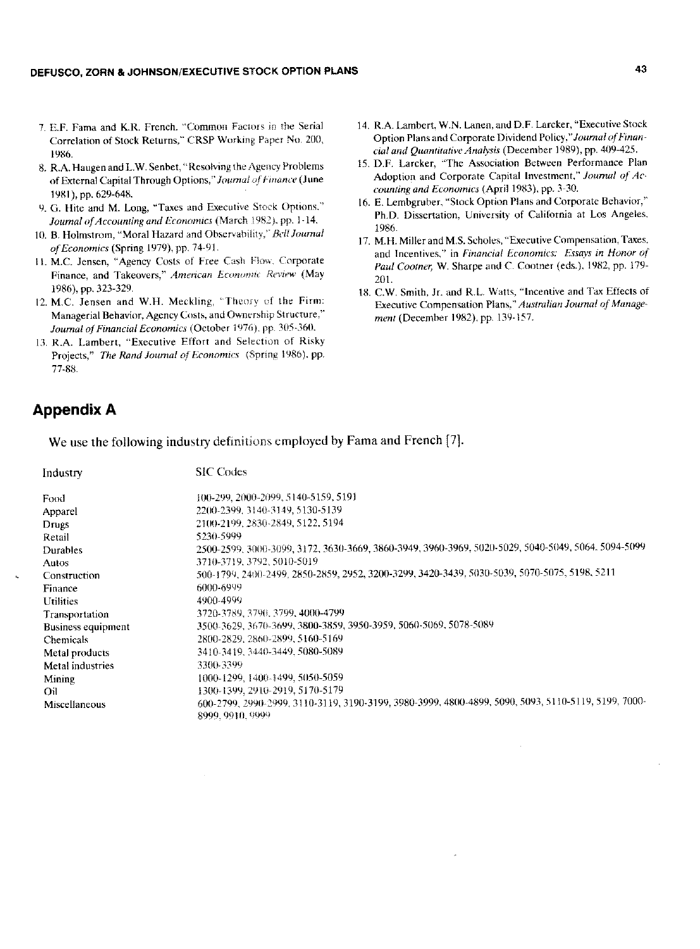- 7. E.F. Fama and K.R. French. "Common Factors in the Serial Correlation of Stock Returns," CRSP Working Paper No. 200, 1986.
- 8. R.A. Haugen and L.W. Senbet, "Resolving the Agency Problems of External Capital Through Options," Journal of Finance (June 1981), pp. 629-648.
- 9. G. Hite and M. Long, "Taxes and Executive Stock Options." Journal of Accounting and Economics (March 1982), pp. 1-14.
- 10. B. Holmstrom, "Moral Hazard and Observability," Bell Journal of Economics (Spring 1979), pp. 74-91.
- 11. M.C. Jensen, "Agency Costs of Free Cash Flow, Corporate Finance, and Takeovers," American Economic Review (May 1986), pp. 323-329.
- 12. M.C. Jensen and W.H. Meckling, "Theory of the Firm: Managerial Behavior, Agency Costs, and Ownership Structure." Journal of Financial Economics (October 1976), pp. 305-360.
- 13. R.A. Lambert, "Executive Effort and Selection of Risky Projects," The Rand Journal of Economics (Spring 1986), pp. 77-88.
- 14. R.A. Lambert, W.N. Lanen, and D.F. Larcker, "Executive Stock Option Plans and Corporate Dividend Policy," Journal of Financial and Quantitative Analysis (December 1989), pp. 409-425.
- 15. D.F. Larcker, "The Association Between Performance Plan Adoption and Corporate Capital Investment," Journal of Accounting and Economics (April 1983), pp. 3-30.
- 16. E. Lembgruber, "Stock Option Plans and Corporate Behavior," Ph.D. Dissertation, University of California at Los Angeles, 1986.
- 17. M.H. Miller and M.S. Scholes, "Executive Compensation, Taxes, and Incentives," in Financial Economics: Essays in Honor of Paul Cootner, W. Sharpe and C. Cootner (eds.), 1982, pp. 179-201.
- 18. C.W. Smith, Jr. and R.L. Watts, "Incentive and Tax Effects of Executive Compensation Plans," Australian Journal of Management (December 1982), pp. 139-157.

## **Appendix A**

We use the following industry definitions employed by Fama and French [7].

| Industry           | <b>SIC</b> Codes                                                                                                        |
|--------------------|-------------------------------------------------------------------------------------------------------------------------|
| Food               | 100-299, 2000-2099, 5140-5159, 5191                                                                                     |
| Apparel            | 2200-2399, 3140-3149, 5130-5139                                                                                         |
| Drugs              | 2100-2199, 2830-2849, 5122, 5194                                                                                        |
| Retail             | 5230-5999                                                                                                               |
| Durables           | 2500-2599, 3000-3099, 3172, 3630-3669, 3860-3949, 3960-3969, 5020-5029, 5040-5049, 5064, 5094-5099                      |
| Autos              | 3710-3719, 3792, 5010-5019                                                                                              |
| Construction       | 500-1799, 2400-2499, 2850-2859, 2952, 3200-3299, 3420-3439, 5030-5039, 5070-5075, 5198, 5211                            |
| Finance            | 6000-6999                                                                                                               |
| <b>Utilities</b>   | 4900-4999                                                                                                               |
| Transportation     | 3720-3789, 3790, 3799, 4000-4799                                                                                        |
| Business equipment | 3500-3629, 3670-3699, 3800-3859, 3950-3959, 5060-5069, 5078-5089                                                        |
| <b>Chemicals</b>   | 2800-2829, 2860-2899, 5160-5169                                                                                         |
| Metal products     | 3410-3419, 3440-3449, 5080-5089                                                                                         |
| Metal industries   | 3300-3399                                                                                                               |
| Mining             | 1000-1299, 1400-1499, 5050-5059                                                                                         |
| Oil                | 1300-1399, 2910-2919, 5170-5179                                                                                         |
| Miscellaneous      | 600-2799, 2990-2999, 3110-3119, 3190-3199, 3980-3999, 4800-4899, 5090, 5093, 5110-5119, 5199, 7000-<br>8999, 9910, 9999 |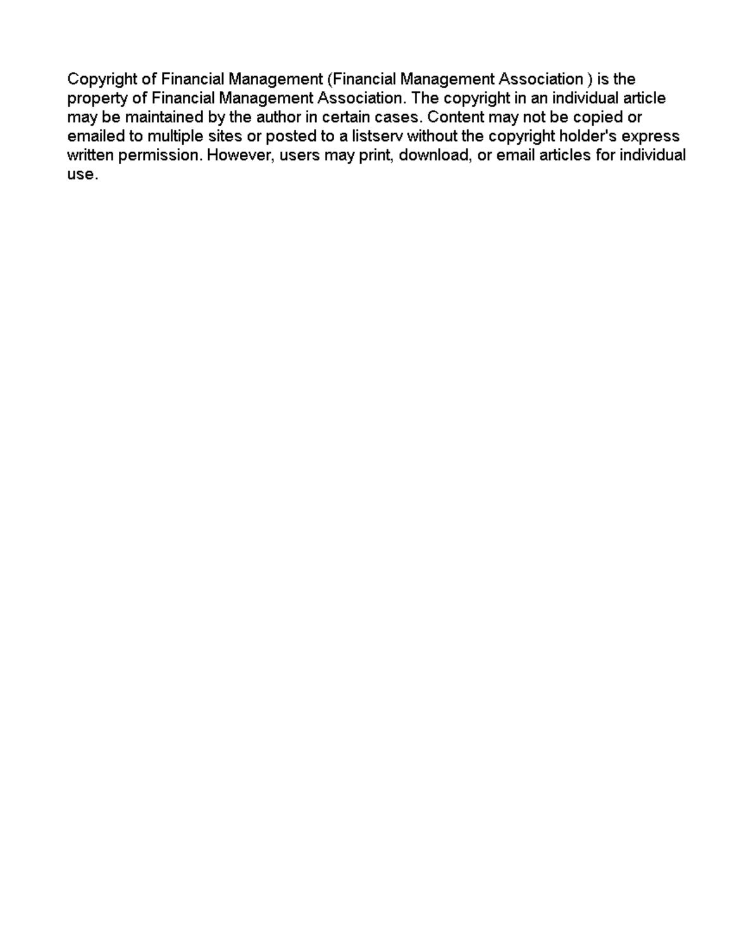Copyright of Financial Management (Financial Management Association) is the property of Financial Management Association. The copyright in an individual article may be maintained by the author in certain cases. Content may not be copied or emailed to multiple sites or posted to a listserv without the copyright holder's express written permission. However, users may print, download, or email articles for individual use.